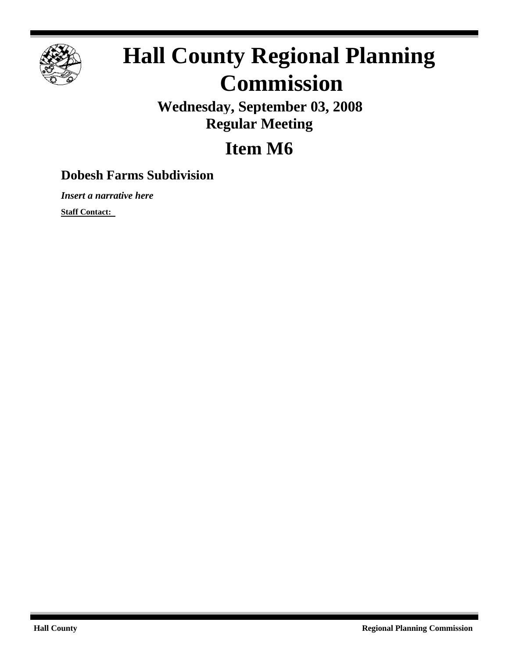

## **Hall County Regional Planning Commission**

**Wednesday, September 03, 2008 Regular Meeting**

## **Item M6**

## **Dobesh Farms Subdivision**

*Insert a narrative here*

**Staff Contact:**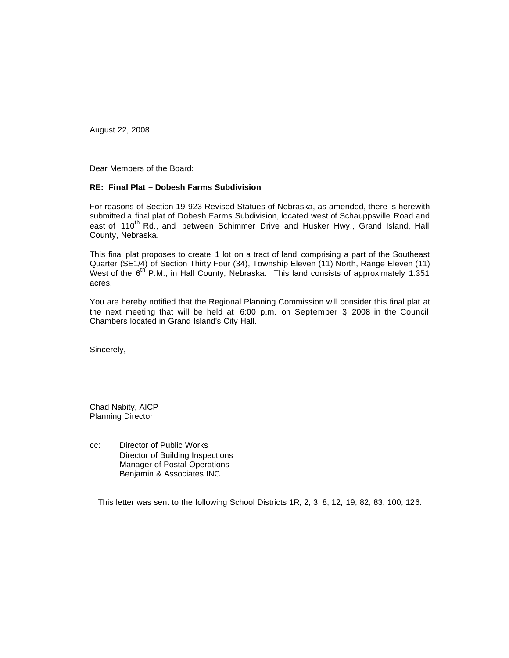August 22, 2008

Dear Members of the Board:

## **RE: Final Plat – Dobesh Farms Subdivision**

For reasons of Section 19-923 Revised Statues of Nebraska, as amended, there is herewith submitted a final plat of Dobesh Farms Subdivision, located west of Schauppsville Road and east of 110<sup>th</sup> Rd., and between Schimmer Drive and Husker Hwy., Grand Island, Hall County, Nebraska.

This final plat proposes to create 1 lot on a tract of land comprising a part of the Southeast Quarter (SE1/4) of Section Thirty Four (34), Township Eleven (11) North, Range Eleven (11) West of the 6<sup>th'</sup> P.M., in Hall County, Nebraska. This land consists of approximately 1.351 acres.

You are hereby notified that the Regional Planning Commission will consider this final plat at the next meeting that will be held at 6:00 p.m. on September 3, 2008 in the Council Chambers located in Grand Island's City Hall.

Sincerely,

Chad Nabity, AICP Planning Director

cc: Director of Public Works Director of Building Inspections Manager of Postal Operations Benjamin & Associates INC.

This letter was sent to the following School Districts 1R, 2, 3, 8, 12, 19, 82, 83, 100, 126.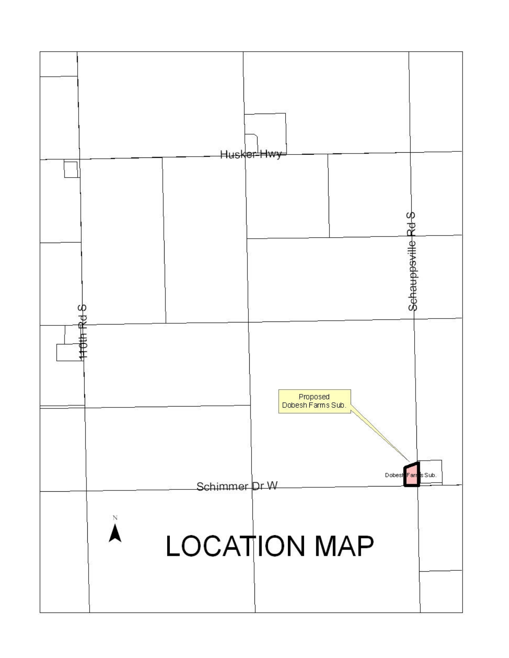